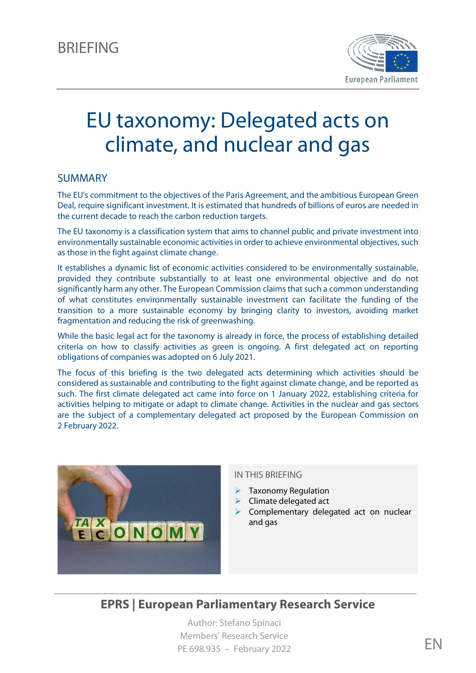

# EU taxonomy: Delegated acts on climate, and nuclear and gas

#### SUMMARY

The EU's commitment to the objectives of the Paris Agreement, and the ambitious European Green Deal, require significant investment. It is estimated that hundreds of billions of euros are needed in the current decade to reach the carbon reduction targets.

The EU taxonomy is a classification system that aims to channel public and private investment into environmentally sustainable economic activities in order to achieve environmental objectives, such as those in the fight against climate change.

It establishes a dynamic list of economic activities considered to be environmentally sustainable, provided they contribute substantially to at least one environmental objective and do not significantly harm any other. The European Commission claims that such a common understanding of what constitutes environmentally sustainable investment can facilitate the funding of the transition to a more sustainable economy by bringing clarity to investors, avoiding market fragmentation and reducing the risk of greenwashing.

While the basic legal act for the taxonomy is already in force, the process of establishing detailed criteria on how to classify activities as green is ongoing. A first delegated act on reporting obligations of companies was adopted on 6 July 2021.

The focus of this briefing is the two delegated acts determining which activities should be considered as sustainable and contributing to the fight against climate change, and be reported as such. The first climate delegated act came into force on 1 January 2022, establishing criteria for activities helping to mitigate or adapt to climate change. Activities in the nuclear and gas sectors are the subject of a complementary delegated act proposed by the European Commission on 2 February 2022.



#### IN THIS BRIEFING

- $\blacktriangleright$  Taxonomy Regulation
- $\triangleright$  Climate delegated act
- Complementary delegated act on nuclear and gas

# **EPRS | European Parliamentary Research Service**

Author: Stefano Spinaci Members' Research Service PE 698.935 – February 2022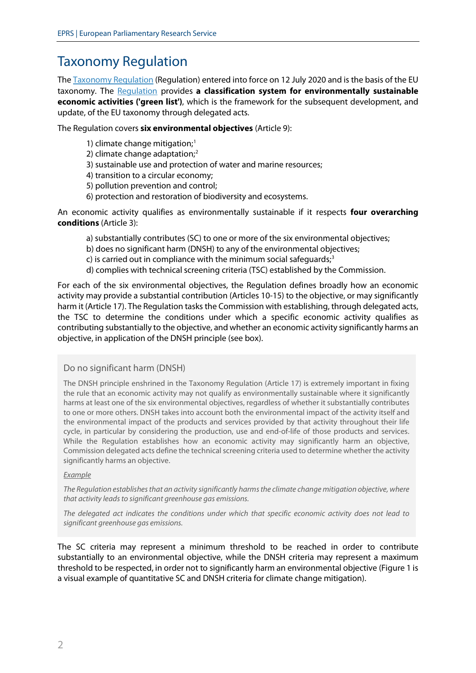# Taxonomy Regulation

Th[e Taxonomy Regulation](https://eur-lex.europa.eu/legal-content/EN/TXT/?uri=CELEX:32020R0852) (Regulation) entered into force on 12 July 2020 and is the basis of the EU taxonomy. The [Regulation](https://www.europarl.europa.eu/thinktank/en/document/EPRS_BRI(2019)635597) provides **a classification system for environmentally sustainable economic activities ('green list')**, which is the framework for the subsequent development, and update, of the EU taxonomy through delegated acts.

The Regulation covers **six environmental objectives** (Article 9):

- 1) climate change mitigation; [1](#page-7-0)
- [2](#page-7-1)) climate change adaptation;<sup>2</sup>
- 3) sustainable use and protection of water and marine resources;
- 4) transition to a circular economy;
- 5) pollution prevention and control;
- 6) protection and restoration of biodiversity and ecosystems.

An economic activity qualifies as environmentally sustainable if it respects **four overarching conditions** (Article 3):

- a) substantially contributes (SC) to one or more of the six environmental objectives;
- b) does no significant harm (DNSH) to any of the environmental objectives;
- c) is carried out in compliance with the minimum social safeguards<sup>[3](#page-7-2)</sup>
- d) complies with technical screening criteria (TSC) established by the Commission.

For each of the six environmental objectives, the Regulation defines broadly how an economic activity may provide a substantial contribution (Articles 10-15) to the objective, or may significantly harm it (Article 17). The Regulation tasks the Commission with establishing, through delegated acts, the TSC to determine the conditions under which a specific economic activity qualifies as contributing substantially to the objective, and whether an economic activity significantly harms an objective, in application of the DNSH principle (see box).

#### Do no significant harm (DNSH)

The DNSH principle enshrined in the Taxonomy Regulation (Article 17) is extremely important in fixing the rule that an economic activity may not qualify as environmentally sustainable where it significantly harms at least one of the six environmental objectives, regardless of whether it substantially contributes to one or more others. DNSH takes into account both the environmental impact of the activity itself and the environmental impact of the products and services provided by that activity throughout their life cycle, in particular by considering the production, use and end-of-life of those products and services. While the Regulation establishes how an economic activity may significantly harm an objective, Commission delegated acts define the technical screening criteria used to determine whether the activity significantly harms an objective.

#### *Example*

*The Regulation establishes that an activity significantly harms the climate change mitigation objective, where that activity leads to significant greenhouse gas emissions.* 

*The delegated act indicates the conditions under which that specific economic activity does not lead to significant greenhouse gas emissions.*

The SC criteria may represent a minimum threshold to be reached in order to contribute substantially to an environmental objective, while the DNSH criteria may represent a maximum threshold to be respected, in order not to significantly harm an environmental objective (Figure 1 is a visual example of quantitative SC and DNSH criteria for climate change mitigation).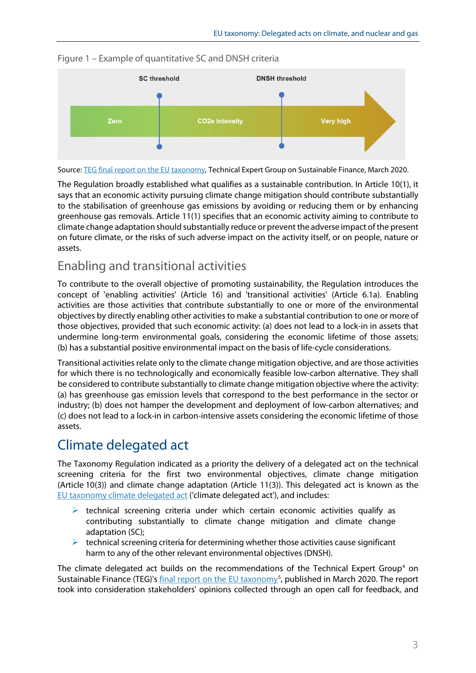

Figure 1 – Example of quantitative SC and DNSH criteria

Source: [TEG final report on the EU taxonomy,](https://ec.europa.eu/info/files/200309-sustainable-finance-teg-final-report-taxonomy_en) Technical Expert Group on Sustainable Finance, March 2020.

The Regulation broadly established what qualifies as a sustainable contribution. In Article 10(1), it says that an economic activity pursuing climate change mitigation should contribute substantially to the stabilisation of greenhouse gas emissions by avoiding or reducing them or by enhancing greenhouse gas removals. Article 11(1) specifies that an economic activity aiming to contribute to climate change adaptation should substantially reduce or prevent the adverse impact of the present on future climate, or the risks of such adverse impact on the activity itself, or on people, nature or assets.

# Enabling and transitional activities

To contribute to the overall objective of promoting sustainability, the Regulation introduces the concept of 'enabling activities' (Article 16) and 'transitional activities' (Article 6.1a). Enabling activities are those activities that contribute substantially to one or more of the environmental objectives by directly enabling other activities to make a substantial contribution to one or more of those objectives, provided that such economic activity: (a) does not lead to a lock-in in assets that undermine long-term environmental goals, considering the economic lifetime of those assets; (b) has a substantial positive environmental impact on the basis of life-cycle considerations.

Transitional activities relate only to the climate change mitigation objective, and are those activities for which there is no technologically and economically feasible low-carbon alternative. They shall be considered to contribute substantially to climate change mitigation objective where the activity: (a) has greenhouse gas emission levels that correspond to the best performance in the sector or industry; (b) does not hamper the development and deployment of low-carbon alternatives; and (c) does not lead to a lock-in in carbon-intensive assets considering the economic lifetime of those assets.

# Climate delegated act

The Taxonomy Regulation indicated as a priority the delivery of a delegated act on the technical screening criteria for the first two environmental objectives, climate change mitigation (Article 10(3)) and climate change adaptation (Article 11(3)). This delegated act is known as the EU [taxonomy climate delegated act](https://ec.europa.eu/info/publications/210421-sustainable-finance-communication_en) ('climate delegated act'), and includes:

- $\triangleright$  technical screening criteria under which certain economic activities qualify as contributing substantially to climate change mitigation and climate change adaptation (SC);
- $\triangleright$  technical screening criteria for determining whether those activities cause significant harm to any of the other relevant environmental objectives (DNSH).

The climate delegated act builds on the recommendations of the Technical Expert Group<sup>4</sup> on Sustainable Finance (TEG)'s [final report on the EU taxonomy](https://ec.europa.eu/info/files/200309-sustainable-finance-teg-final-report-taxonomy_en)<sup>[5](#page-7-4)</sup>, published in March 2020. The report took into consideration stakeholders' opinions collected through an open call for feedback, and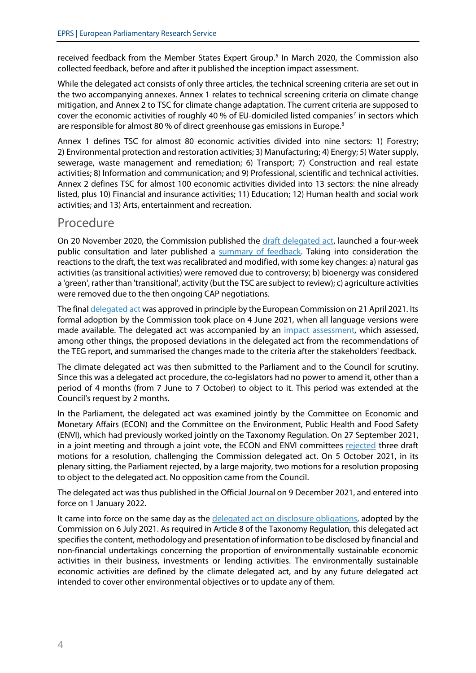received feedback from the Member States Expert Group. [6](#page-7-5) In March 2020, the Commission also collected feedback, before and after it published the inception impact assessment.

While the delegated act consists of only three articles, the technical screening criteria are set out in the two accompanying annexes. Annex 1 relates to technical screening criteria on climate change mitigation, and Annex 2 to TSC for climate change adaptation. The current criteria are supposed to cover the economic activities of roughly 40 % of EU-domiciled listed companies<sup>[7](#page-7-6)</sup> in sectors which are responsible for almost [8](#page-7-7)0 % of direct greenhouse gas emissions in Europe.<sup>8</sup>

Annex 1 defines TSC for almost 80 economic activities divided into nine sectors: 1) Forestry; 2) Environmental protection and restoration activities; 3) Manufacturing; 4) Energy; 5) Water supply, sewerage, waste management and remediation; 6) Transport; 7) Construction and real estate activities; 8) Information and communication; and 9) Professional, scientific and technical activities. Annex 2 defines TSC for almost 100 economic activities divided into 13 sectors: the nine already listed, plus 10) Financial and insurance activities; 11) Education; 12) Human health and social work activities; and 13) Arts, entertainment and recreation.

### Procedure

On 20 November 2020, the Commission published the [draft delegated act,](https://ec.europa.eu/info/law/better-regulation/have-your-say/initiatives/12302-Sustainable-finance-EU-classification-system-for-green-investments_en) launched a four-week public consultation and later published a [summary of feedback.](https://ec.europa.eu/info/sites/default/files/business_economy_euro/banking_and_finance/documents/210427-summary-feedback-draft-delegated-act-taxonomy-regulation_en.pdf) Taking into consideration the reactions to the draft, the text was recalibrated and modified, with some key changes: a) natural gas activities (as transitional activities) were removed due to controversy; b) bioenergy was considered a 'green', rather than 'transitional', activity (but the TSC are subject to review); c) agriculture activities were removed due to the then ongoing CAP negotiations.

The fina[l delegated act](https://eur-lex.europa.eu/legal-content/EN/TXT/?uri=PI_COM%3AC%282021%292800) was approved in principle by the European Commission on 21 April 2021. Its formal adoption by the Commission took place on 4 June 2021, when all language versions were made available. The delegated act was accompanied by an [impact assessment,](https://ec.europa.eu/transparency/documents-register/detail?ref=SWD(2021)152&lang=en) which assessed, among other things, the proposed deviations in the delegated act from the recommendations of the TEG report, and summarised the changes made to the criteria after the stakeholders' feedback.

The climate delegated act was then submitted to the Parliament and to the Council for scrutiny. Since this was a delegated act procedure, the co-legislators had no power to amend it, other than a period of 4 months (from 7 June to 7 October) to object to it. This period was extended at the Council's request by 2 months.

In the Parliament, the delegated act was examined jointly by the Committee on Economic and Monetary Affairs (ECON) and the Committee on the Environment, Public Health and Food Safety (ENVI), which had previously worked jointly on the Taxonomy Regulation. On 27 September 2021, in a joint meeting and through a joint vote, the ECON and ENVI committees [rejected](https://www.aaronmcloughlin.com/joint-committee-econ-env-reject-delegated-act-challenge/) three draft motions for a resolution, challenging the Commission delegated act. On 5 October 2021, in its plenary sitting, the Parliament rejected, by a large majority, two motions for a resolution proposing to object to the delegated act. No opposition came from the Council.

The delegated act was thus published in the Official Journal on 9 December 2021, and entered into force on 1 January 2022.

It came into force on the same day as the [delegated act on disclosure obligations,](https://eur-lex.europa.eu/legal-content/EN/TXT/?uri=PI_COM:C(2021)4987) adopted by the Commission on 6 July 2021. As required in Article 8 of the Taxonomy Regulation, this delegated act specifies the content, methodology and presentation of information to be disclosed by financial and non-financial undertakings concerning the proportion of environmentally sustainable economic activities in their business, investments or lending activities. The environmentally sustainable economic activities are defined by the climate delegated act, and by any future delegated act intended to cover other environmental objectives or to update any of them.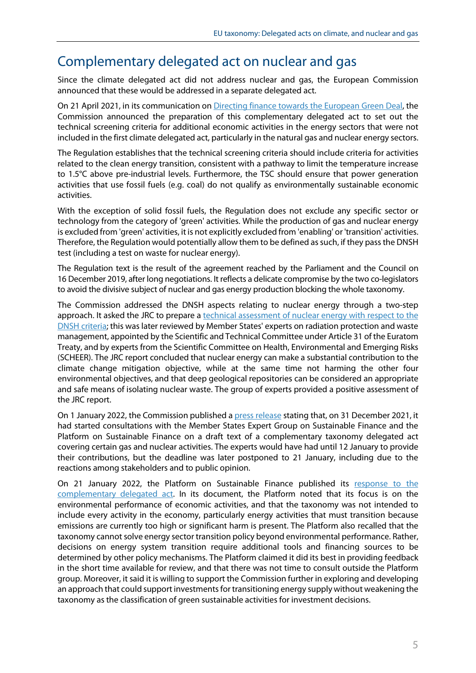# Complementary delegated act on nuclear and gas

Since the climate delegated act did not address nuclear and gas, the European Commission announced that these would be addressed in a separate delegated act.

On 21 April 2021, in its communication on [Directing finance towards the European Green Deal,](https://eur-lex.europa.eu/legal-content/EN/TXT/?uri=CELEX:52021DC0188) the Commission announced the preparation of this complementary delegated act to set out the technical screening criteria for additional economic activities in the energy sectors that were not included in the first climate delegated act, particularly in the natural gas and nuclear energy sectors.

The Regulation establishes that the technical screening criteria should include criteria for activities related to the clean energy transition, consistent with a pathway to limit the temperature increase to 1.5°C above pre-industrial levels. Furthermore, the TSC should ensure that power generation activities that use fossil fuels (e.g. coal) do not qualify as environmentally sustainable economic activities.

With the exception of solid fossil fuels, the Regulation does not exclude any specific sector or technology from the category of 'green' activities. While the production of gas and nuclear energy is excluded from 'green' activities, it is not explicitly excluded from 'enabling' or 'transition' activities. Therefore, the Regulation would potentially allow them to be defined as such, if they pass the DNSH test (including a test on waste for nuclear energy).

The Regulation text is the result of the agreement reached by the Parliament and the Council on 16 December 2019, after long negotiations. It reflects a delicat[e compromise](https://www.euractiv.com/section/energy-environment/news/eu-seals-deal-on-green-finance-in-breakthrough-for-climate-goals/) by the two co-legislators to avoid the divisive subject of nuclear and gas energy production blocking the whole taxonomy.

The Commission addressed the DNSH aspects relating to nuclear energy through a two-step approach. It asked the JRC to prepare a [technical assessment of nuclear energy with respect to the](https://publications.jrc.ec.europa.eu/repository/handle/JRC125953)  [DNSH criteria;](https://publications.jrc.ec.europa.eu/repository/handle/JRC125953) this was later reviewed by Member States' experts on radiation protection and waste management, appointed by the Scientific and Technical Committee under Article 31 of the Euratom Treaty, and by experts from the Scientific Committee on Health, Environmental and Emerging Risks (SCHEER). The JRC report concluded that nuclear energy can make a substantial contribution to the climate change mitigation objective, while at the same time not harming the other four environmental objectives, and that deep geological repositories can be considered an appropriate and safe means of isolating nuclear waste. The group of experts provided a positive assessment of the JRC report.

On 1 January 2022, the Commission published [a press release](https://ec.europa.eu/commission/presscorner/detail/en/ip_22_2) stating that, on 31 December 2021, it had started consultations with the Member States Expert Group on Sustainable Finance and the Platform on Sustainable Finance on a draft text of a complementary taxonomy delegated act covering certain gas and nuclear activities. The experts would have had until 12 January to provide their contributions, but the deadline was later postponed to 21 January, including due to the reactions among stakeholders and to public opinion.

On 21 January 2022, the Platform on Sustainable Finance published its [response to the](https://ec.europa.eu/info/sites/default/files/business_economy_euro/banking_and_finance/documents/220121-sustainable-finance-platform-response-taxonomy-complementary-delegated-act_en.pdf)  [complementary delegated act.](https://ec.europa.eu/info/sites/default/files/business_economy_euro/banking_and_finance/documents/220121-sustainable-finance-platform-response-taxonomy-complementary-delegated-act_en.pdf) In its document, the Platform noted that its focus is on the environmental performance of economic activities, and that the taxonomy was not intended to include every activity in the economy, particularly energy activities that must transition because emissions are currently too high or significant harm is present. The Platform also recalled that the taxonomy cannot solve energy sector transition policy beyond environmental performance. Rather, decisions on energy system transition require additional tools and financing sources to be determined by other policy mechanisms. The Platform claimed it did its best in providing feedback in the short time available for review, and that there was not time to consult outside the Platform group. Moreover, it said it is willing to support the Commission further in exploring and developing an approach that could support investments for transitioning energy supply without weakening the taxonomy as the classification of green sustainable activities for investment decisions.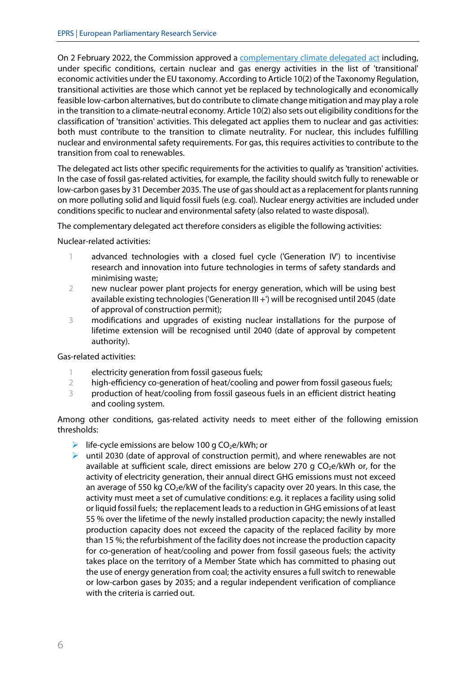On 2 February 2022, the Commission approved a [complementary climate delegated act](https://ec.europa.eu/info/publications/220202-sustainable-finance-taxonomy-complementary-climate-delegated-act_en) including, under specific conditions, certain nuclear and gas energy activities in the list of 'transitional' economic activities under the EU taxonomy. According to Article 10(2) of the Taxonomy Regulation, transitional activities are those which cannot yet be replaced by technologically and economically feasible low-carbon alternatives, but do contribute to climate change mitigation and may play a role in the transition to a climate-neutral economy. Article 10(2) also sets out eligibility conditions for the classification of 'transition' activities. This delegated act applies them to nuclear and gas activities: both must contribute to the transition to climate neutrality. For nuclear, this includes fulfilling nuclear and environmental safety requirements. For gas, this requires activities to contribute to the transition from coal to renewables.

The delegated act lists other specific requirements for the activities to qualify as 'transition' activities. In the case of fossil gas-related activities, for example, the facility should switch fully to renewable or low-carbon gases by 31 December 2035. The use of gas should act as a replacement for plants running on more polluting solid and liquid fossil fuels (e.g. coal). Nuclear energy activities are included under conditions specific to nuclear and environmental safety (also related to waste disposal).

The complementary delegated act therefore considers as eligible the following activities:

Nuclear-related activities:

- 1 advanced technologies with a closed fuel cycle ('Generation IV') to incentivise research and innovation into future technologies in terms of safety standards and minimising waste;
- 2 new nuclear power plant projects for energy generation, which will be using best available existing technologies ('Generation III +') will be recognised until 2045 (date of approval of construction permit);
- 3 modifications and upgrades of existing nuclear installations for the purpose of lifetime extension will be recognised until 2040 (date of approval by competent authority).

Gas-related activities:

- 1 electricity generation from fossil gaseous fuels;
- 2 high-efficiency co-generation of heat/cooling and power from fossil gaseous fuels;
- 3 production of heat/cooling from fossil gaseous fuels in an efficient district heating and cooling system.

Among other conditions, gas-related activity needs to meet either of the following emission thresholds:

- life-cycle emissions are below 100 g  $CO<sub>2</sub>e/kWh$ ; or
- ighthrow until 2030 (date of approval of construction permit), and where renewables are not available at sufficient scale, direct emissions are below 270 g  $CO<sub>2</sub>e/kWh$  or, for the activity of electricity generation, their annual direct GHG emissions must not exceed an average of 550 kg  $CO<sub>2</sub>e/kW$  of the facility's capacity over 20 years. In this case, the activity must meet a set of cumulative conditions: e.g. it replaces a facility using solid or liquid fossil fuels; the replacement leads to a reduction in GHG emissions of at least 55 % over the lifetime of the newly installed production capacity; the newly installed production capacity does not exceed the capacity of the replaced facility by more than 15 %; the refurbishment of the facility does not increase the production capacity for co-generation of heat/cooling and power from fossil gaseous fuels; the activity takes place on the territory of a Member State which has committed to phasing out the use of energy generation from coal; the activity ensures a full switch to renewable or low-carbon gases by 2035; and a regular independent verification of compliance with the criteria is carried out.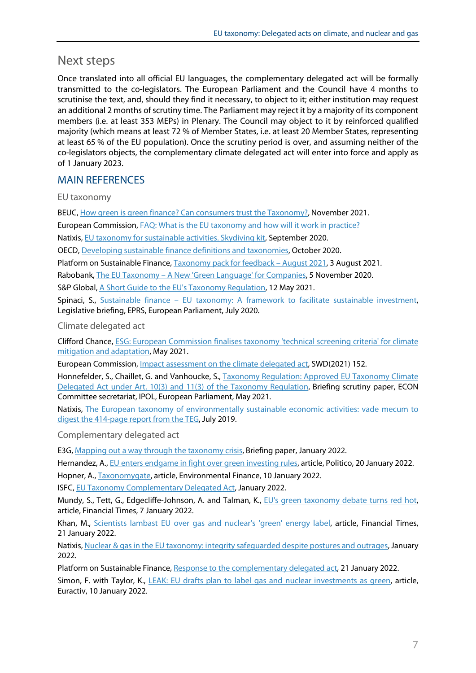# Next steps

Once translated into all official EU languages, the complementary delegated act will be formally transmitted to the co-legislators. The European Parliament and the Council have 4 months to scrutinise the text, and, should they find it necessary, to object to it; either institution may request an additional 2 months of scrutiny time. The Parliament may reject it by a majority of its component members (i.e. at least 353 MEPs) in Plenary. The Council may object to it by reinforced qualified majority (which means at least 72 % of Member States, i.e. at least 20 Member States, representing at least 65 % of the EU population). Once the scrutiny period is over, and assuming neither of the co-legislators objects, the complementary climate delegated act will enter into force and apply as of 1 January 2023.

## MAIN REFERENCES

EU taxonomy

BEUC, How green is green finance? [Can consumers trust the Taxonomy?,](https://www.beuc.eu/publications/beuc-x-2021-101_can_consumers_trust_the_taxonomy.pdf) November 2021.

European Commission, [FAQ: What is the EU taxonomy and how will it work in practice?](https://ec.europa.eu/info/sites/default/files/business_economy_euro/banking_and_finance/documents/sustainable-finance-taxonomy-faq_en.pdf)

Natixis, [EU taxonomy for sustainable activities. Skydiving kit,](https://gsh.cib.natixis.com/api-website-feature/files/download/11673/EU_Taxonomy_for_sustainable_activitie_skydiving_kit_Natixis_GSH_Sept_2020.pdf) September 2020.

OECD, [Developing sustainable finance definitions and taxonomies,](https://www.oecd.org/env/developing-sustainable-finance-definitions-and-taxonomies-134a2dbe-en.htm) October 2020.

Platform on Sustainable Finance[, Taxonomy pack for feedback](https://ec.europa.eu/info/sites/default/files/business_economy_euro/banking_and_finance/documents/210803-sustainable-finance-platform-report-technical-screening-criteria-taxonomy_en.pdf) – August 2021, 3 August 2021.

Rabobank, The EU Taxonomy – [A New 'Green Language'](https://economics.rabobank.com/publications/2020/october/the-eu-taxonomy--a-new-green-language-for-companies/) for Companies, 5 November 2020.

S&P Global[, A Short Guide to the EU's Taxonomy Regulation,](https://www.spglobal.com/esg/insights/a-short-guide-to-the-eu-s-taxonomy-regulation) 12 May 2021.

Spinaci, S., Sustainable finance – [EU taxonomy: A framework to facilitate sustainable investment,](https://www.europarl.europa.eu/thinktank/en/document/EPRS_BRI(2019)635597) Legislative briefing, EPRS, European Parliament, July 2020.

Climate delegated act

Clifford Chance, [ESG: European Commission finalises taxonomy 'technical screening criteria'](https://www.cliffordchance.com/briefings/2021/05/esg--european-commission-finalises-taxonomy--technical-screening.html) for climate [mitigation and adaptation,](https://www.cliffordchance.com/briefings/2021/05/esg--european-commission-finalises-taxonomy--technical-screening.html) May 2021.

European Commission, [Impact assessment on the climate delegated act,](https://ec.europa.eu/finance/docs/level-2-measures/taxonomy-regulation-delegated-act-2021-2800-impact-assessment_en.pdf) SWD(2021) 152.

Honnefelder, S., Chaillet, G. and Vanhoucke, S., Taxonomy Regulation: Approved EU Taxonomy Climate [Delegated Act under Art. 10\(3\) and 11\(3\) of the Taxonomy Regulation,](https://www.europarl.europa.eu/RegData/etudes/BRIE/2021/648248/IPOL_BRI(2021)648248_EN.pdf) Briefing scrutiny paper, ECON Committee secretariat, IPOL, European Parliament, May 2021.

Natixis, [The European taxonomy of environmentally sustainable economic activities: vade mecum to](https://gsh.cib.natixis.com/api-website-feature/files/download/7819/eu_taxonomy_vade_mecum_to_digest_the_report_from_the_teg__natixis_green___sustainable_hub.pdf)  [digest the 414-page report from the TEG,](https://gsh.cib.natixis.com/api-website-feature/files/download/7819/eu_taxonomy_vade_mecum_to_digest_the_report_from_the_teg__natixis_green___sustainable_hub.pdf) July 2019.

Complementary delegated act

E3G[, Mapping out a way through the taxonomy crisis,](https://www.e3g.org/publications/mapping-out-a-way-through-the-taxonomy-crisis/) Briefing paper, January 2022.

Hernandez, A.[, EU enters endgame in fight over green investing rules,](https://www.politico.eu/article/the-eus-taxonomy-tussle/) article, Politico, 20 January 2022.

Hopner, A.[, Taxonomygate,](https://www.environmental-finance.com/content/analysis/taxonomygate.html) article, Environmental Finance, 10 January 2022.

ISFC[, EU Taxonomy Complementary Delegated Act,](https://static1.squarespace.com/static/5f7709cd633d6220bbee2709/t/61e1939054123e426d5d391a/1642173330735/Taxonomy+CDA+-+ISFC+Reaction.pdf) January 2022.

Mundy, S., Tett, G., Edgecliffe-Johnson, A. and Talman, K., [EU's green taxonomy debate turns red hot,](https://www.ft.com/content/f579066b-bea2-4fd9-be1b-86ec12e48ce7) article, Financial Times, 7 January 2022.

Khan, M., [Scientists lambast EU over gas and nuclear's 'green'](https://www.ft.com/content/928ad46d-ffd8-41b1-b327-c8eb2354b88c) energy label, article, Financial Times, 21 January 2022.

Natixis[, Nuclear & gas in the EU taxonomy: integrity safeguarded despite postures and outrages,](https://gsh.cib.natixis.com/our-center-of-expertise/articles/nuclear-gas-in-the-eu-taxonomy-integrity-safeguarded-despite-postures-and-outrages) January 2022.

Platform on Sustainable Finance[, Response to the complementary delegated act,](https://ec.europa.eu/info/sites/default/files/business_economy_euro/banking_and_finance/documents/220121-sustainable-finance-platform-response-taxonomy-complementary-delegated-act_en.pdf) 21 January 2022.

Simon, F. with Taylor, K., *LEAK: EU drafts plan to label gas and nuclear investments as green*, article, Euractiv, 10 January 2022.